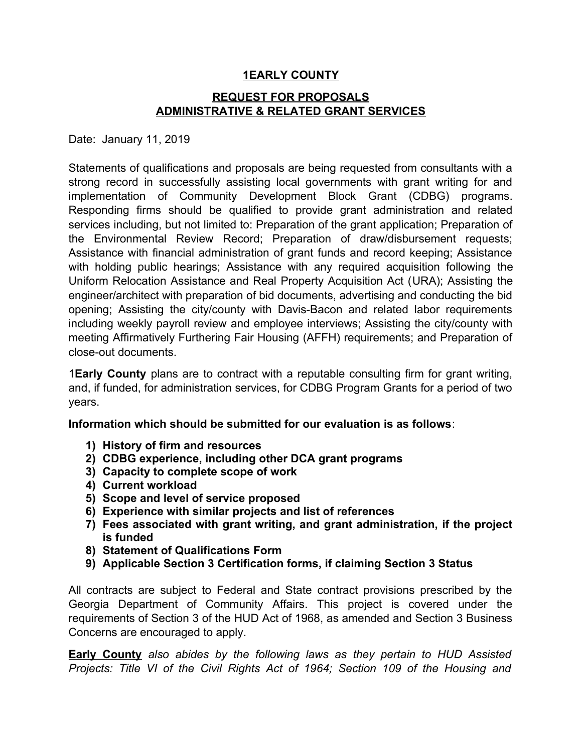## **1 EARLY COUNTY**

## **REQUEST FOR PROPOSALS ADMINISTRATIVE & RELATED GRANT SERVICES**

Date: January 11, 2019

Statements of qualifications and proposals are being requested from consultants with a strong record in successfully assisting local governments with grant writing for and implementation of Community Development Block Grant (CDBG) programs. Responding firms should be qualified to provide grant administration and related services including, but not limited to: Preparation of the grant application; Preparation of the Environmental Review Record; Preparation of draw/disbursement requests; Assistance with financial administration of grant funds and record keeping; Assistance with holding public hearings; Assistance with any required acquisition following the Uniform Relocation Assistance and Real Property Acquisition Act (URA); Assisting the engineer/architect with preparation of bid documents, advertising and conducting the bid opening; Assisting the city/county with Davis-Bacon and related labor requirements including weekly payroll review and employee interviews; Assisting the city/county with meeting Affirmatively Furthering Fair Housing (AFFH) requirements; and Preparation of close-out documents.

1**Early County** plans are to contract with a reputable consulting firm for grant writing, and, if funded, for administration services, for CDBG Program Grants for a period of two years.

**Information which should be submitted for our evaluation is as follows**:

- **1) History of firm and resources**
- **2) CDBG experience, including other DCA grant programs**
- **3) Capacity to complete scope of work**
- **4) Current workload**
- **5) Scope and level of service proposed**
- **6) Experience with similar projects and list of references**
- **7) Fees associated with grant writing, and grant administration, if the project is funded**
- **8) Statement of Qualifications Form**
- **9) Applicable Section 3 Certification forms, if claiming Section 3 Status**

All contracts are subject to Federal and State contract provisions prescribed by the Georgia Department of Community Affairs. This project is covered under the requirements of Section 3 of the HUD Act of 1968, as amended and Section 3 Business Concerns are encouraged to apply.

**Early County** *also abides by the following laws as they pertain to HUD Assisted Projects: Title VI of the Civil Rights Act of 1964; Section 109 of the Housing and*